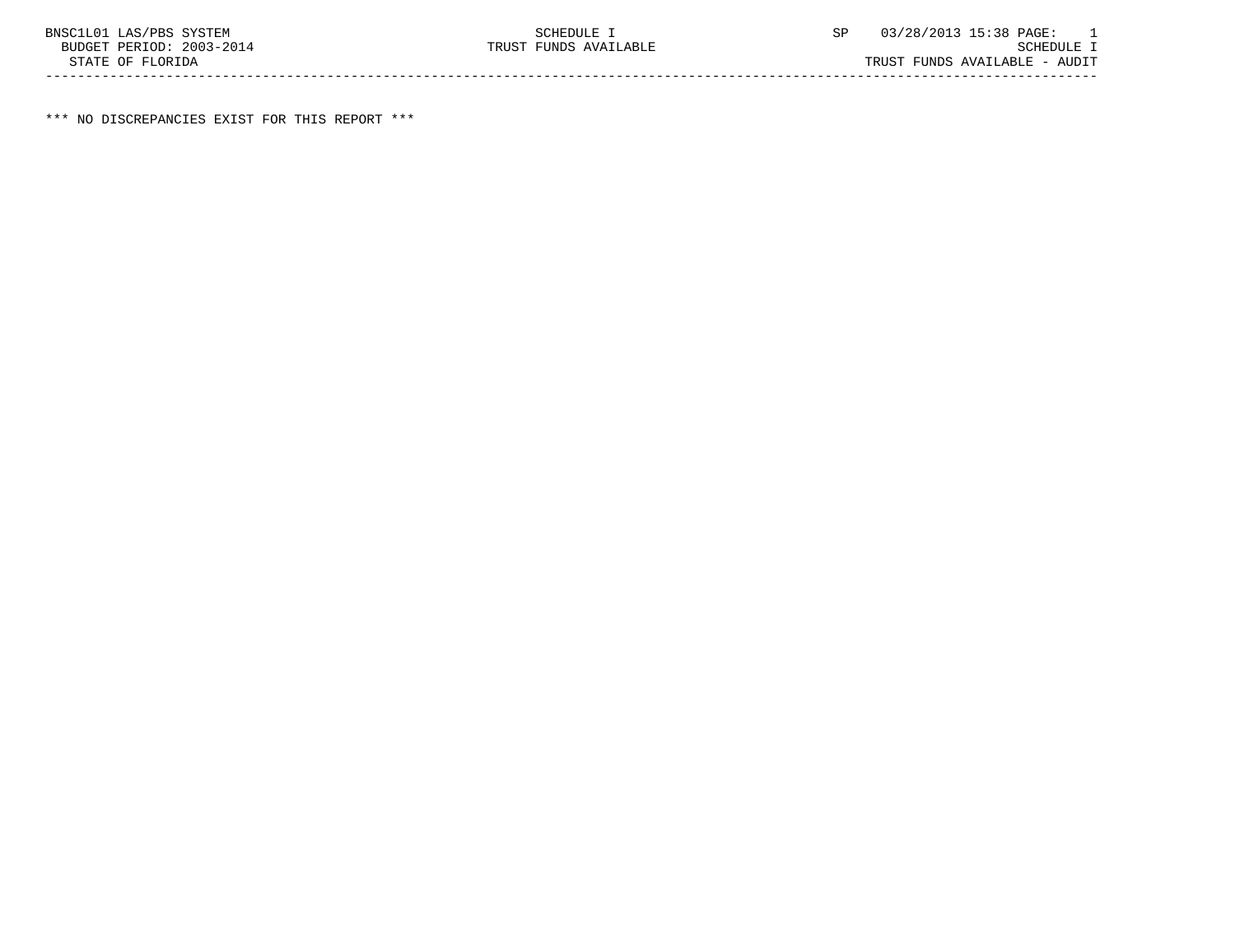\*\*\* NO DISCREPANCIES EXIST FOR THIS REPORT \*\*\*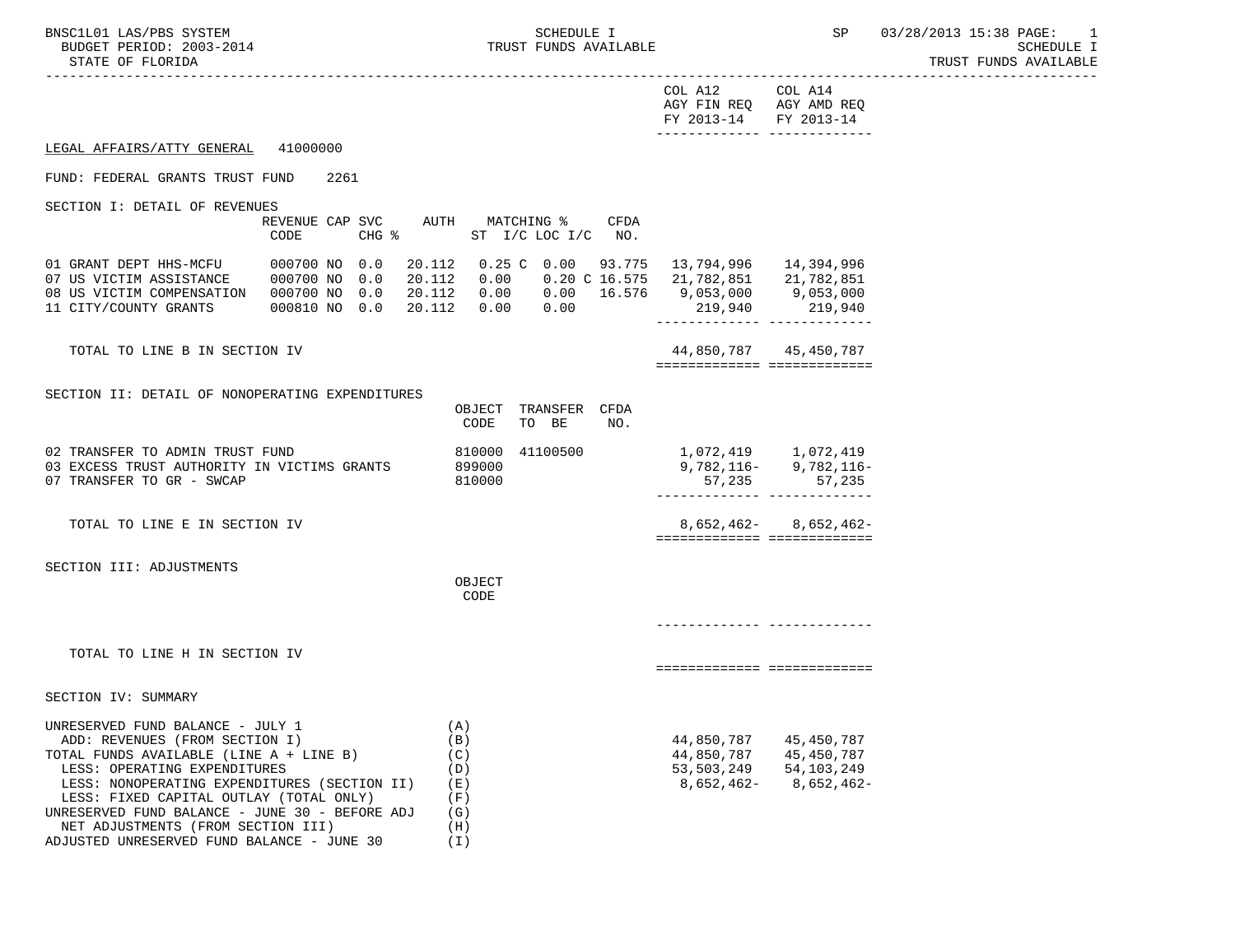-----------------------------------------------------------------------------------------------------------------------------------

| FY 2013-14 FY 2013-14 |                         |
|-----------------------|-------------------------|
|                       | AGY FIN REQ AGY AMD REQ |
| COL A12               | COL A14                 |

## LEGAL AFFAIRS/ATTY GENERAL 41000000

### FUND: FEDERAL GRANTS TRUST FUND 2261

SECTION I: DETAIL OF REVENUES

|                                                                                                         | REVENUE CAP SVC<br>CODE                                  | CHG %      | AUTH                                 | MATCHING %<br>ST I/C LOC I/C                     | CFDA<br>NO.                            |                                                  |                                                  |
|---------------------------------------------------------------------------------------------------------|----------------------------------------------------------|------------|--------------------------------------|--------------------------------------------------|----------------------------------------|--------------------------------------------------|--------------------------------------------------|
| 01 GRANT DEPT HHS-MCFU<br>07 US VICTIM ASSISTANCE<br>08 US VICTIM COMPENSATION<br>11 CITY/COUNTY GRANTS | 000700 NO 0.0<br>000700 NO 0.0<br>000700 NO<br>000810 NO | 0.0<br>0.0 | 20.112<br>20.112<br>20.112<br>20.112 | $0.25$ C<br>0.00<br>0.00<br>0.00<br>0.00<br>0.00 | 0.00 93.775<br>0.20 C 16.575<br>16.576 | 13,794,996<br>21,782,851<br>9,053,000<br>219,940 | 14,394,996<br>21,782,851<br>9,053,000<br>219,940 |

#### TOTAL TO LINE B IN SECTION IV

| TOTAL<br>m <sub>c</sub><br>.≺ECT <sup>-</sup><br>ΟN<br>N.<br>NH:<br>. . | . 785<br>78'<br>44<br>$4 -$<br>$\overline{a}$                     |
|-------------------------------------------------------------------------|-------------------------------------------------------------------|
|                                                                         | _____________<br>_____________<br>-------------<br>-------------- |

## SECTION II: DETAIL OF NONOPERATING EXPENDITURES

|                                                                                                             | OBJECT<br>CODE             | TRANSFER<br>TO BE | <b>CFDA</b><br>NO. |        |                                                            |
|-------------------------------------------------------------------------------------------------------------|----------------------------|-------------------|--------------------|--------|------------------------------------------------------------|
| 02 TRANSFER TO ADMIN TRUST FUND<br>03 EXCESS TRUST AUTHORITY IN VICTIMS GRANTS<br>07 TRANSFER TO GR - SWCAP | 810000<br>899000<br>810000 | 41100500          |                    | 57,235 | 1,072,419 1,072,419<br>$9,782,116 - 9,782,116 -$<br>57,235 |
| TOTAL TO LINE E IN SECTION IV                                                                               |                            |                   |                    |        | $8,652,462 - 8,652,462 -$                                  |
| SECTION III: ADJUSTMENTS                                                                                    | OBJECT<br>CODE             |                   |                    |        |                                                            |
|                                                                                                             |                            |                   |                    |        |                                                            |
| TOTAL TO LINE H IN SECTION IV                                                                               |                            |                   |                    |        |                                                            |

# SECTION IV: SUMMARY

| UNRESERVED FUND BALANCE - JULY 1               | A)            |              |              |
|------------------------------------------------|---------------|--------------|--------------|
| ADD: REVENUES (FROM SECTION I)                 | (B)           | 44,850,787   | 45,450,787   |
| TOTAL FUNDS AVAILABLE (LINE A + LINE B)        | (C)           | 44,850,787   | 45,450,787   |
| LESS: OPERATING EXPENDITURES                   | $\setminus D$ | 53,503,249   | 54, 103, 249 |
| LESS: NONOPERATING EXPENDITURES (SECTION II)   | Έ)            | $8,652,462-$ | $8.652.462-$ |
| LESS: FIXED CAPITAL OUTLAY (TOTAL ONLY)        | F)            |              |              |
| UNRESERVED FUND BALANCE - JUNE 30 - BEFORE ADJ | (G)           |              |              |
| NET ADJUSTMENTS (FROM SECTION III)             | Ή)            |              |              |
| ADJUSTED UNRESERVED FUND BALANCE - JUNE 30     | $\bot$        |              |              |